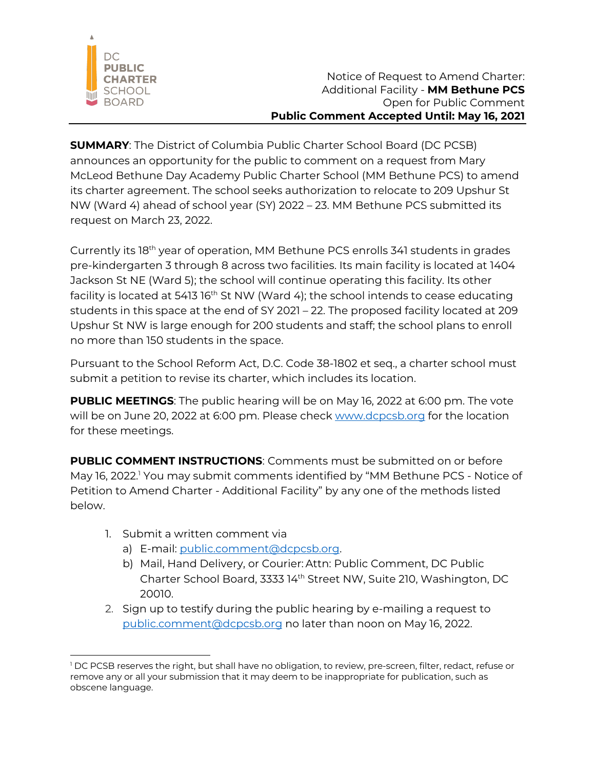

**SUMMARY**: The District of Columbia Public Charter School Board (DC PCSB) announces an opportunity for the public to comment on a request from Mary McLeod Bethune Day Academy Public Charter School (MM Bethune PCS) to amend its charter agreement. The school seeks authorization to relocate to 209 Upshur St NW (Ward 4) ahead of school year (SY) 2022 – 23. MM Bethune PCS submitted its request on March 23, 2022.

Currently its 18th year of operation, MM Bethune PCS enrolls 341 students in grades pre-kindergarten 3 through 8 across two facilities. Its main facility is located at 1404 Jackson St NE (Ward 5); the school will continue operating this facility. Its other facility is located at 5413 16<sup>th</sup> St NW (Ward 4); the school intends to cease educating students in this space at the end of SY 2021 – 22. The proposed facility located at 209 Upshur St NW is large enough for 200 students and staff; the school plans to enroll no more than 150 students in the space.

Pursuant to the School Reform Act, D.C. Code 38-1802 et seq., a charter school must submit a petition to revise its charter, which includes its location.

**PUBLIC MEETINGS:** The public hearing will be on May 16, 2022 at 6:00 pm. The vote will be on June 20, 2022 at 6:00 pm. Please check www.dcpcsb.org for the location for these meetings.

**PUBLIC COMMENT INSTRUCTIONS:** Comments must be submitted on or before May 16, 2022.<sup>1</sup> You may submit comments identified by "MM Bethune PCS - Notice of Petition to Amend Charter - Additional Facility" by any one of the methods listed below.

- 1. Submit a written comment via
	- a) E-mail: public.comment@dcpcsb.org.
	- b) Mail, Hand Delivery, or Courier: Attn: Public Comment, DC Public Charter School Board, 3333 14th Street NW, Suite 210, Washington, DC 20010.
- 2. Sign up to testify during the public hearing by e-mailing a request to public.comment@dcpcsb.org no later than noon on May 16, 2022.

<sup>&</sup>lt;sup>1</sup> DC PCSB reserves the right, but shall have no obligation, to review, pre-screen, filter, redact, refuse or remove any or all your submission that it may deem to be inappropriate for publication, such as obscene language.